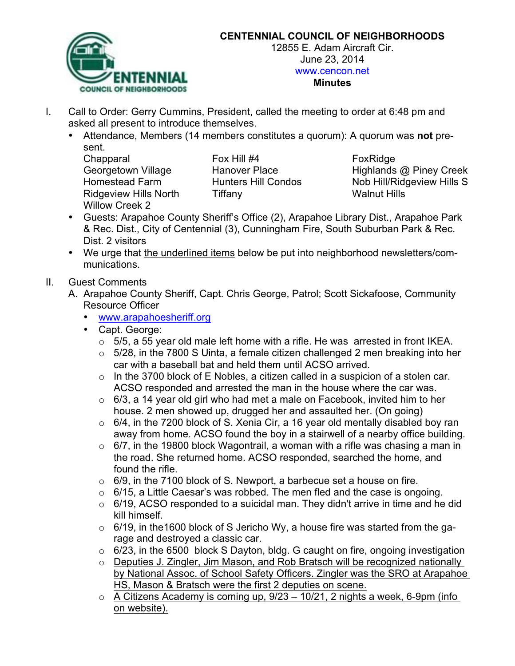

### **CENTENNIAL COUNCIL OF NEIGHBORHOODS**

12855 E. Adam Aircraft Cir. June 23, 2014 www.cencon.net **Minutes**

- I. Call to Order: Gerry Cummins, President, called the meeting to order at 6:48 pm and asked all present to introduce themselves.
	- Attendance, Members (14 members constitutes a quorum): A quorum was **not** present.

Chapparal Fox Hill #4 FoxRidge Ridgeview Hills North Tiffany Times Network Walnut Hills Willow Creek 2

Georgetown Village Hanover Place Highlands @ Piney Creek Homestead Farm Hunters Hill Condos Nob Hill/Ridgeview Hills S

- Guests: Arapahoe County Sheriff's Office (2), Arapahoe Library Dist., Arapahoe Park & Rec. Dist., City of Centennial (3), Cunningham Fire, South Suburban Park & Rec. Dist. 2 visitors
- We urge that the underlined items below be put into neighborhood newsletters/communications.
- II. Guest Comments
	- A. Arapahoe County Sheriff, Capt. Chris George, Patrol; Scott Sickafoose, Community Resource Officer
		- www.arapahoesheriff.org
		- Capt. George:
			- $\circ$  5/5, a 55 year old male left home with a rifle. He was arrested in front IKEA.
			- $\circ$  5/28, in the 7800 S Uinta, a female citizen challenged 2 men breaking into her car with a baseball bat and held them until ACSO arrived.
			- $\circ$  In the 3700 block of E Nobles, a citizen called in a suspicion of a stolen car. ACSO responded and arrested the man in the house where the car was.
			- $\circ$  6/3, a 14 year old girl who had met a male on Facebook, invited him to her house. 2 men showed up, drugged her and assaulted her. (On going)
			- $\circ$  6/4, in the 7200 block of S. Xenia Cir, a 16 year old mentally disabled boy ran away from home. ACSO found the boy in a stairwell of a nearby office building.
			- $\circ$  6/7, in the 19800 block Wagontrail, a woman with a rifle was chasing a man in the road. She returned home. ACSO responded, searched the home, and found the rifle.
			- $\circ$  6/9, in the 7100 block of S. Newport, a barbecue set a house on fire.
			- $\circ$  6/15, a Little Caesar's was robbed. The men fled and the case is ongoing.
			- $\circ$  6/19, ACSO responded to a suicidal man. They didn't arrive in time and he did kill himself.
			- $\circ$  6/19, in the 1600 block of S Jericho Wy, a house fire was started from the garage and destroyed a classic car.
			- o 6/23, in the 6500 block S Dayton, bldg. G caught on fire, ongoing investigation
			- o Deputies J. Zingler, Jim Mason, and Rob Bratsch will be recognized nationally by National Assoc. of School Safety Officers. Zingler was the SRO at Arapahoe HS, Mason & Bratsch were the first 2 deputies on scene.
			- $\circ$  A Citizens Academy is coming up, 9/23 10/21, 2 nights a week, 6-9pm (info on website).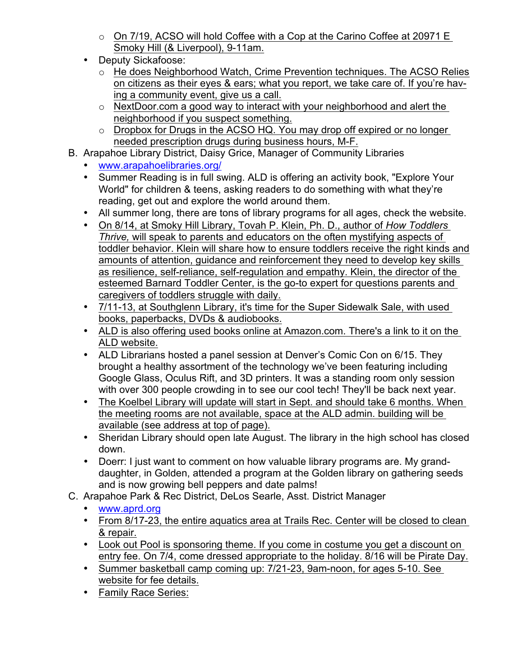- o On 7/19, ACSO will hold Coffee with a Cop at the Carino Coffee at 20971 E Smoky Hill (& Liverpool), 9-11am.
- Deputy Sickafoose:
	- o He does Neighborhood Watch, Crime Prevention techniques. The ACSO Relies on citizens as their eyes & ears; what you report, we take care of. If you're having a community event, give us a call.
	- o NextDoor.com a good way to interact with your neighborhood and alert the neighborhood if you suspect something.
	- o Dropbox for Drugs in the ACSO HQ. You may drop off expired or no longer needed prescription drugs during business hours, M-F.
- B. Arapahoe Library District, Daisy Grice, Manager of Community Libraries
	- www.arapahoelibraries.org/
	- Summer Reading is in full swing. ALD is offering an activity book, "Explore Your World" for children & teens, asking readers to do something with what they're reading, get out and explore the world around them.
	- All summer long, there are tons of library programs for all ages, check the website.
	- On 8/14, at Smoky Hill Library, Tovah P. Klein, Ph. D., author of *How Toddlers Thrive,* will speak to parents and educators on the often mystifying aspects of toddler behavior. Klein will share how to ensure toddlers receive the right kinds and amounts of attention, guidance and reinforcement they need to develop key skills as resilience, self-reliance, self-regulation and empathy. Klein, the director of the esteemed Barnard Toddler Center, is the go-to expert for questions parents and caregivers of toddlers struggle with daily.
	- 7/11-13, at Southglenn Library, it's time for the Super Sidewalk Sale, with used books, paperbacks, DVDs & audiobooks.
	- ALD is also offering used books online at Amazon.com. There's a link to it on the ALD website.
	- ALD Librarians hosted a panel session at Denver's Comic Con on 6/15. They brought a healthy assortment of the technology we've been featuring including Google Glass, Oculus Rift, and 3D printers. It was a standing room only session with over 300 people crowding in to see our cool tech! They'll be back next year.
	- The Koelbel Library will update will start in Sept. and should take 6 months. When the meeting rooms are not available, space at the ALD admin. building will be available (see address at top of page).
	- Sheridan Library should open late August. The library in the high school has closed down.
	- Doerr: I just want to comment on how valuable library programs are. My granddaughter, in Golden, attended a program at the Golden library on gathering seeds and is now growing bell peppers and date palms!
- C. Arapahoe Park & Rec District, DeLos Searle, Asst. District Manager
	- www.aprd.org
	- From 8/17-23, the entire aquatics area at Trails Rec. Center will be closed to clean & repair.
	- Look out Pool is sponsoring theme. If you come in costume you get a discount on entry fee. On 7/4, come dressed appropriate to the holiday. 8/16 will be Pirate Day.
	- Summer basketball camp coming up: 7/21-23, 9am-noon, for ages 5-10. See website for fee details.
	- Family Race Series: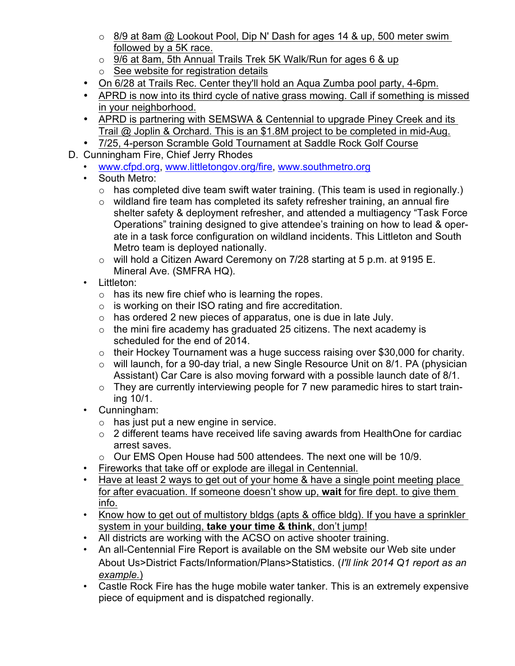- $\circ$  8/9 at 8am @ Lookout Pool, Dip N' Dash for ages 14 & up, 500 meter swim followed by a 5K race.
- o 9/6 at 8am, 5th Annual Trails Trek 5K Walk/Run for ages 6 & up
- o See website for registration details
- On 6/28 at Trails Rec. Center they'll hold an Aqua Zumba pool party, 4-6pm.
- APRD is now into its third cycle of native grass mowing. Call if something is missed in your neighborhood.
- APRD is partnering with SEMSWA & Centennial to upgrade Piney Creek and its Trail @ Joplin & Orchard. This is an \$1.8M project to be completed in mid-Aug.
- 7/25, 4-person Scramble Gold Tournament at Saddle Rock Golf Course
- D. Cunningham Fire, Chief Jerry Rhodes
	- www.cfpd.org, www.littletongov.org/fire, www.southmetro.org
	- South Metro:
		- o has completed dive team swift water training. (This team is used in regionally.)
		- o wildland fire team has completed its safety refresher training, an annual fire shelter safety & deployment refresher, and attended a multiagency "Task Force Operations" training designed to give attendee's training on how to lead & operate in a task force configuration on wildland incidents. This Littleton and South Metro team is deployed nationally.
		- o will hold a Citizen Award Ceremony on 7/28 starting at 5 p.m. at 9195 E. Mineral Ave. (SMFRA HQ).
	- Littleton:
		- $\circ$  has its new fire chief who is learning the ropes.
		- o is working on their ISO rating and fire accreditation.
		- $\circ$  has ordered 2 new pieces of apparatus, one is due in late July.
		- $\circ$  the mini fire academy has graduated 25 citizens. The next academy is scheduled for the end of 2014.
		- o their Hockey Tournament was a huge success raising over \$30,000 for charity.
		- o will launch, for a 90-day trial, a new Single Resource Unit on 8/1. PA (physician Assistant) Car Care is also moving forward with a possible launch date of 8/1.
		- $\circ$  They are currently interviewing people for 7 new paramedic hires to start training 10/1.
	- Cunningham:
		- $\circ$  has just put a new engine in service.
		- o 2 different teams have received life saving awards from HealthOne for cardiac arrest saves.
		- o Our EMS Open House had 500 attendees. The next one will be 10/9.
	- Fireworks that take off or explode are illegal in Centennial.
	- Have at least 2 ways to get out of your home & have a single point meeting place for after evacuation. If someone doesn't show up, **wait** for fire dept. to give them info.
	- Know how to get out of multistory bldgs (apts & office bldg). If you have a sprinkler system in your building, **take your time & think**, don't jump!
	- All districts are working with the ACSO on active shooter training.
	- An all-Centennial Fire Report is available on the SM website our Web site under About Us>District Facts/Information/Plans>Statistics. (*I'll link 2014 Q1 report as an example.*)
	- Castle Rock Fire has the huge mobile water tanker. This is an extremely expensive piece of equipment and is dispatched regionally.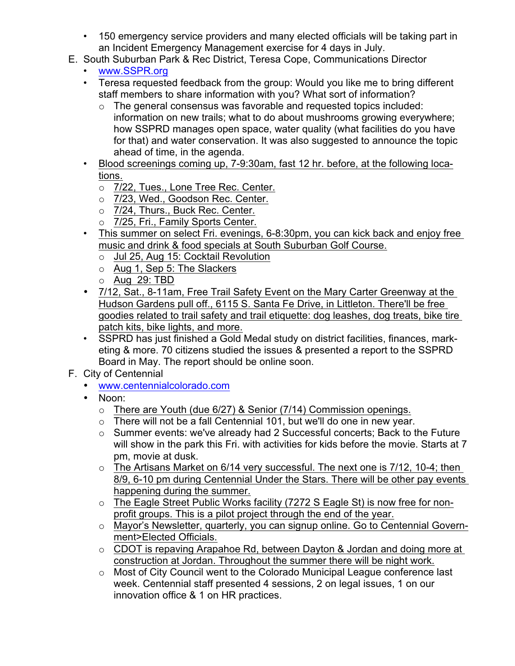- 150 emergency service providers and many elected officials will be taking part in an Incident Emergency Management exercise for 4 days in July.
- E. South Suburban Park & Rec District, Teresa Cope, Communications Director
	- www.SSPR.org
	- Teresa requested feedback from the group: Would you like me to bring different staff members to share information with you? What sort of information?
		- $\circ$  The general consensus was favorable and requested topics included: information on new trails; what to do about mushrooms growing everywhere; how SSPRD manages open space, water quality (what facilities do you have for that) and water conservation. It was also suggested to announce the topic ahead of time, in the agenda.
	- Blood screenings coming up, 7-9:30am, fast 12 hr. before, at the following locations.
		- o 7/22, Tues., Lone Tree Rec. Center.
		- o 7/23, Wed., Goodson Rec. Center.
		- o 7/24, Thurs., Buck Rec. Center.
		- o 7/25, Fri., Family Sports Center.
	- This summer on select Fri. evenings, 6-8:30pm, you can kick back and enjoy free music and drink & food specials at South Suburban Golf Course.
		- o Jul 25, Aug 15: Cocktail Revolution
		- o Aug 1, Sep 5: The Slackers
		- o Aug 29: TBD
	- 7/12, Sat., 8-11am, Free Trail Safety Event on the Mary Carter Greenway at the Hudson Gardens pull off., 6115 S. Santa Fe Drive, in Littleton. There'll be free goodies related to trail safety and trail etiquette: dog leashes, dog treats, bike tire patch kits, bike lights, and more.
	- SSPRD has just finished a Gold Medal study on district facilities, finances, marketing & more. 70 citizens studied the issues & presented a report to the SSPRD Board in May. The report should be online soon.
- F. City of Centennial
	- www.centennialcolorado.com
	- Noon:
		- $\circ$  There are Youth (due 6/27) & Senior (7/14) Commission openings.
		- o There will not be a fall Centennial 101, but we'll do one in new year.
		- o Summer events: we've already had 2 Successful concerts; Back to the Future will show in the park this Fri. with activities for kids before the movie. Starts at 7 pm, movie at dusk.
		- o The Artisans Market on 6/14 very successful. The next one is 7/12, 10-4; then 8/9, 6-10 pm during Centennial Under the Stars. There will be other pay events happening during the summer.
		- o The Eagle Street Public Works facility (7272 S Eagle St) is now free for nonprofit groups. This is a pilot project through the end of the year.
		- o Mayor's Newsletter, quarterly, you can signup online. Go to Centennial Government>Elected Officials.
		- o CDOT is repaving Arapahoe Rd, between Dayton & Jordan and doing more at construction at Jordan. Throughout the summer there will be night work.
		- o Most of City Council went to the Colorado Municipal League conference last week. Centennial staff presented 4 sessions, 2 on legal issues, 1 on our innovation office & 1 on HR practices.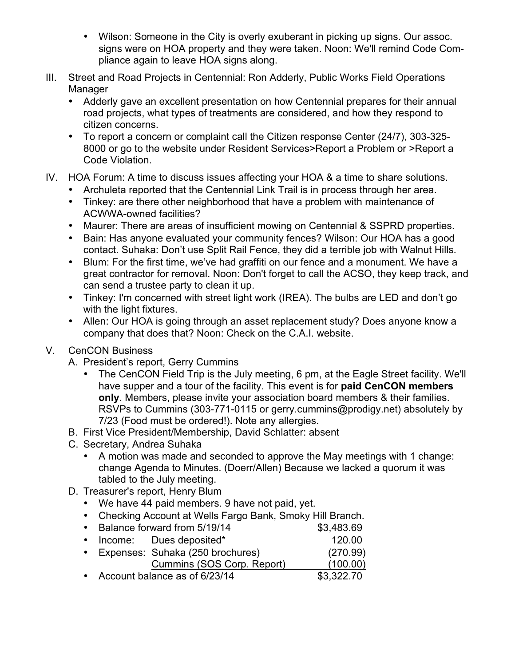- Wilson: Someone in the City is overly exuberant in picking up signs. Our assoc. signs were on HOA property and they were taken. Noon: We'll remind Code Compliance again to leave HOA signs along.
- III. Street and Road Projects in Centennial: Ron Adderly, Public Works Field Operations Manager
	- Adderly gave an excellent presentation on how Centennial prepares for their annual road projects, what types of treatments are considered, and how they respond to citizen concerns.
	- To report a concern or complaint call the Citizen response Center (24/7), 303-325- 8000 or go to the website under Resident Services>Report a Problem or >Report a Code Violation.
- IV. HOA Forum: A time to discuss issues affecting your HOA & a time to share solutions.
	- Archuleta reported that the Centennial Link Trail is in process through her area.
	- Tinkey: are there other neighborhood that have a problem with maintenance of ACWWA-owned facilities?
	- Maurer: There are areas of insufficient mowing on Centennial & SSPRD properties.
	- Bain: Has anyone evaluated your community fences? Wilson: Our HOA has a good contact. Suhaka: Don't use Split Rail Fence, they did a terrible job with Walnut Hills.
	- Blum: For the first time, we've had graffiti on our fence and a monument. We have a great contractor for removal. Noon: Don't forget to call the ACSO, they keep track, and can send a trustee party to clean it up.
	- Tinkey: I'm concerned with street light work (IREA). The bulbs are LED and don't go with the light fixtures.
	- Allen: Our HOA is going through an asset replacement study? Does anyone know a company that does that? Noon: Check on the C.A.I. website.
- V. CenCON Business
	- A. President's report, Gerry Cummins
		- The CenCON Field Trip is the July meeting, 6 pm, at the Eagle Street facility. We'll have supper and a tour of the facility. This event is for **paid CenCON members only**. Members, please invite your association board members & their families. RSVPs to Cummins (303-771-0115 or gerry.cummins@prodigy.net) absolutely by 7/23 (Food must be ordered!). Note any allergies.
	- B. First Vice President/Membership, David Schlatter: absent
	- C. Secretary, Andrea Suhaka
		- A motion was made and seconded to approve the May meetings with 1 change: change Agenda to Minutes. (Doerr/Allen) Because we lacked a quorum it was tabled to the July meeting.
	- D. Treasurer's report, Henry Blum
		- We have 44 paid members. 9 have not paid, yet.
		- Checking Account at Wells Fargo Bank, Smoky Hill Branch.
		- Balance forward from 5/19/14 \$3,483.69 • Income: Dues deposited\* 120.00 • Expenses: Suhaka (250 brochures) (270.99) Cummins (SOS Corp. Report) (100.00)
		- Account balance as of 6/23/14 \$3,322.70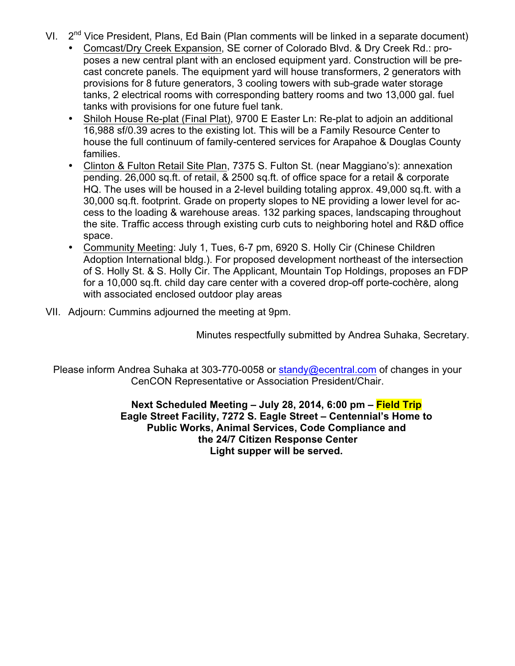- VI.  $2^{nd}$  Vice President, Plans, Ed Bain (Plan comments will be linked in a separate document)
	- Comcast/Dry Creek Expansion, SE corner of Colorado Blvd. & Dry Creek Rd.: proposes a new central plant with an enclosed equipment yard. Construction will be precast concrete panels. The equipment yard will house transformers, 2 generators with provisions for 8 future generators, 3 cooling towers with sub-grade water storage tanks, 2 electrical rooms with corresponding battery rooms and two 13,000 gal. fuel tanks with provisions for one future fuel tank.
	- Shiloh House Re-plat (Final Plat), 9700 E Easter Ln: Re-plat to adjoin an additional 16,988 sf/0.39 acres to the existing lot. This will be a Family Resource Center to house the full continuum of family-centered services for Arapahoe & Douglas County families.
	- Clinton & Fulton Retail Site Plan, 7375 S. Fulton St. (near Maggiano's): annexation pending. 26,000 sq.ft. of retail, & 2500 sq.ft. of office space for a retail & corporate HQ. The uses will be housed in a 2-level building totaling approx. 49,000 sq.ft. with a 30,000 sq.ft. footprint. Grade on property slopes to NE providing a lower level for access to the loading & warehouse areas. 132 parking spaces, landscaping throughout the site. Traffic access through existing curb cuts to neighboring hotel and R&D office space.
	- Community Meeting: July 1, Tues, 6-7 pm, 6920 S. Holly Cir (Chinese Children Adoption International bldg.). For proposed development northeast of the intersection of S. Holly St. & S. Holly Cir. The Applicant, Mountain Top Holdings, proposes an FDP for a 10,000 sq.ft. child day care center with a covered drop-off porte-cochère, along with associated enclosed outdoor play areas
- VII. Adjourn: Cummins adjourned the meeting at 9pm.

Minutes respectfully submitted by Andrea Suhaka, Secretary.

Please inform Andrea Suhaka at 303-770-0058 or standy@ecentral.com of changes in your CenCON Representative or Association President/Chair.

> **Next Scheduled Meeting – July 28, 2014, 6:00 pm – Field Trip Eagle Street Facility, 7272 S. Eagle Street – Centennial's Home to Public Works, Animal Services, Code Compliance and the 24/7 Citizen Response Center Light supper will be served.**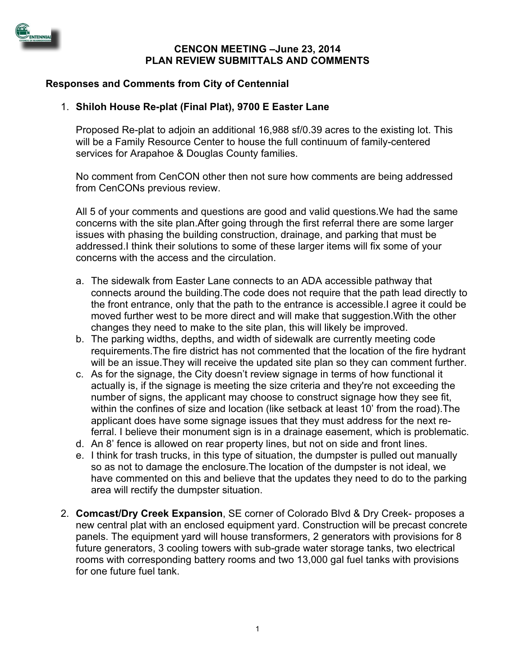

#### **CENCON MEETING –June 23, 2014 PLAN REVIEW SUBMITTALS AND COMMENTS**

# **Responses and Comments from City of Centennial**

# 1. **Shiloh House Re-plat (Final Plat), 9700 E Easter Lane**

Proposed Re-plat to adjoin an additional 16,988 sf/0.39 acres to the existing lot. This will be a Family Resource Center to house the full continuum of family-centered services for Arapahoe & Douglas County families.

No comment from CenCON other then not sure how comments are being addressed from CenCONs previous review.

All 5 of your comments and questions are good and valid questions.We had the same concerns with the site plan.After going through the first referral there are some larger issues with phasing the building construction, drainage, and parking that must be addressed.I think their solutions to some of these larger items will fix some of your concerns with the access and the circulation.

- a. The sidewalk from Easter Lane connects to an ADA accessible pathway that connects around the building.The code does not require that the path lead directly to the front entrance, only that the path to the entrance is accessible.I agree it could be moved further west to be more direct and will make that suggestion.With the other changes they need to make to the site plan, this will likely be improved.
- b. The parking widths, depths, and width of sidewalk are currently meeting code requirements.The fire district has not commented that the location of the fire hydrant will be an issue.They will receive the updated site plan so they can comment further.
- c. As for the signage, the City doesn't review signage in terms of how functional it actually is, if the signage is meeting the size criteria and they're not exceeding the number of signs, the applicant may choose to construct signage how they see fit, within the confines of size and location (like setback at least 10' from the road).The applicant does have some signage issues that they must address for the next referral. I believe their monument sign is in a drainage easement, which is problematic.
- d. An 8' fence is allowed on rear property lines, but not on side and front lines.
- e. I think for trash trucks, in this type of situation, the dumpster is pulled out manually so as not to damage the enclosure.The location of the dumpster is not ideal, we have commented on this and believe that the updates they need to do to the parking area will rectify the dumpster situation.
- 2. **Comcast/Dry Creek Expansion**, SE corner of Colorado Blvd & Dry Creek- proposes a new central plat with an enclosed equipment yard. Construction will be precast concrete panels. The equipment yard will house transformers, 2 generators with provisions for 8 future generators, 3 cooling towers with sub-grade water storage tanks, two electrical rooms with corresponding battery rooms and two 13,000 gal fuel tanks with provisions for one future fuel tank.